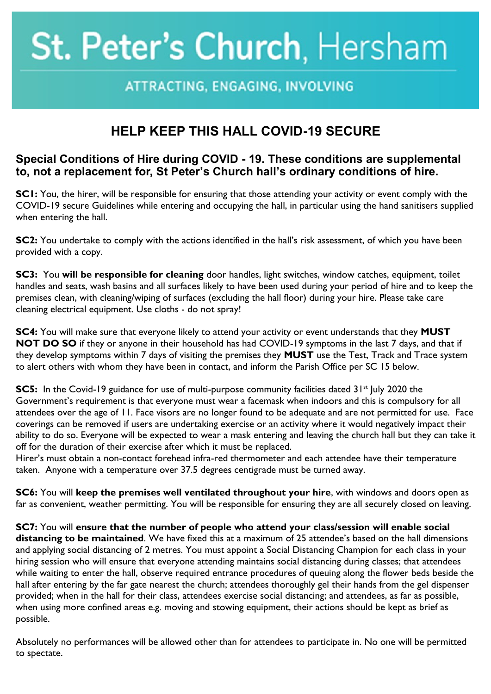## St. Peter's Church, Hersham

## ATTRACTING, ENGAGING, INVOLVING

## **HELP KEEP THIS HALL COVID-19 SECURE**

## **Special Conditions of Hire during COVID - 19. These conditions are supplemental to, not a replacement for, St Peter's Church hall's ordinary conditions of hire.**

**SC1:** You, the hirer, will be responsible for ensuring that those attending your activity or event comply with the COVID-19 secure Guidelines while entering and occupying the hall, in particular using the hand sanitisers supplied when entering the hall.

**SC2:** You undertake to comply with the actions identified in the hall's risk assessment, of which you have been provided with a copy.

**SC3:** You **will be responsible for cleaning** door handles, light switches, window catches, equipment, toilet handles and seats, wash basins and all surfaces likely to have been used during your period of hire and to keep the premises clean, with cleaning/wiping of surfaces (excluding the hall floor) during your hire. Please take care cleaning electrical equipment. Use cloths - do not spray!

**SC4:** You will make sure that everyone likely to attend your activity or event understands that they **MUST NOT DO SO** if they or anyone in their household has had COVID-19 symptoms in the last 7 days, and that if they develop symptoms within 7 days of visiting the premises they **MUST** use the Test, Track and Trace system to alert others with whom they have been in contact, and inform the Parish Office per SC 15 below.

**SC5:** In the Covid-19 guidance for use of multi-purpose community facilities dated 31<sup>st</sup> July 2020 the Government's requirement is that everyone must wear a facemask when indoors and this is compulsory for all attendees over the age of 11. Face visors are no longer found to be adequate and are not permitted for use. Face coverings can be removed if users are undertaking exercise or an activity where it would negatively impact their ability to do so. Everyone will be expected to wear a mask entering and leaving the church hall but they can take it off for the duration of their exercise after which it must be replaced.

Hirer's must obtain a non-contact forehead infra-red thermometer and each attendee have their temperature taken. Anyone with a temperature over 37.5 degrees centigrade must be turned away.

**SC6:** You will **keep the premises well ventilated throughout your hire**, with windows and doors open as far as convenient, weather permitting. You will be responsible for ensuring they are all securely closed on leaving.

**SC7:** You will **ensure that the number of people who attend your class/session will enable social distancing to be maintained**. We have fixed this at a maximum of 25 attendee's based on the hall dimensions and applying social distancing of 2 metres. You must appoint a Social Distancing Champion for each class in your hiring session who will ensure that everyone attending maintains social distancing during classes; that attendees while waiting to enter the hall, observe required entrance procedures of queuing along the flower beds beside the hall after entering by the far gate nearest the church; attendees thoroughly gel their hands from the gel dispenser provided; when in the hall for their class, attendees exercise social distancing; and attendees, as far as possible, when using more confined areas e.g. moving and stowing equipment, their actions should be kept as brief as possible.

Absolutely no performances will be allowed other than for attendees to participate in. No one will be permitted to spectate.